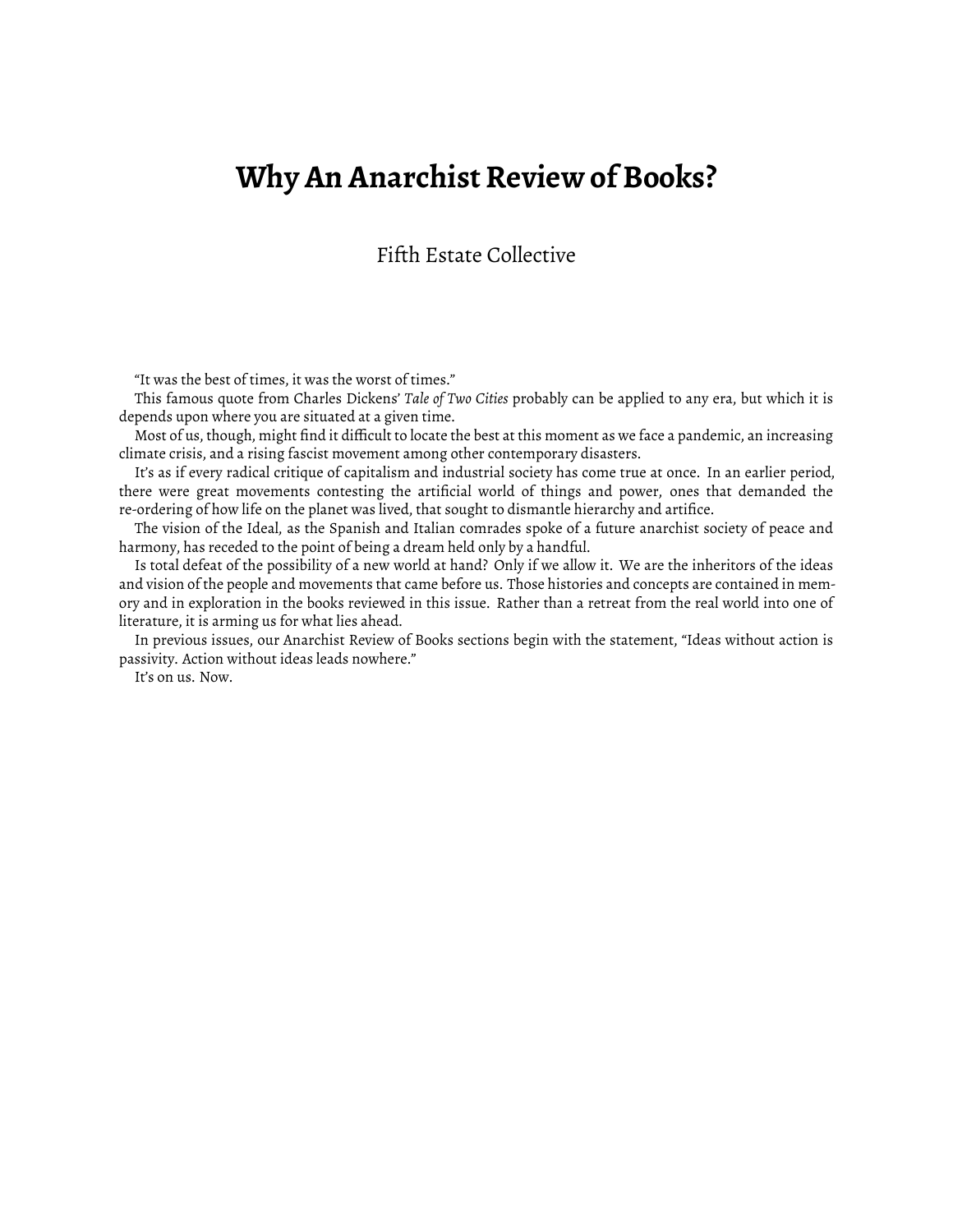## **Why An Anarchist Review of Books?**

Fifth Estate Collective

"It was the best of times, it was the worst of times."

This famous quote from Charles Dickens' *Tale of Two Cities* probably can be applied to any era, but which it is depends upon where you are situated at a given time.

Most of us, though, might find it difficult to locate the best at this moment as we face a pandemic, an increasing climate crisis, and a rising fascist movement among other contemporary disasters.

It's as if every radical critique of capitalism and industrial society has come true at once. In an earlier period, there were great movements contesting the artificial world of things and power, ones that demanded the re-ordering of how life on the planet was lived, that sought to dismantle hierarchy and artifice.

The vision of the Ideal, as the Spanish and Italian comrades spoke of a future anarchist society of peace and harmony, has receded to the point of being a dream held only by a handful.

Is total defeat of the possibility of a new world at hand? Only if we allow it. We are the inheritors of the ideas and vision of the people and movements that came before us. Those histories and concepts are contained in memory and in exploration in the books reviewed in this issue. Rather than a retreat from the real world into one of literature, it is arming us for what lies ahead.

In previous issues, our Anarchist Review of Books sections begin with the statement, "Ideas without action is passivity. Action without ideas leads nowhere."

It's on us. Now.